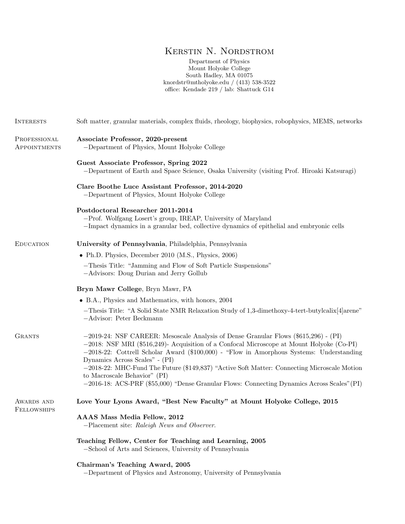# Kerstin N. Nordstrom

Department of Physics Mount Holyoke College South Hadley, MA 01075 knordstr@mtholyoke.edu / (413) 538-3522 office: Kendade 219 / lab: Shattuck G14

| <b>INTERESTS</b>                 | Soft matter, granular materials, complex fluids, rheology, biophysics, robophysics, MEMS, networks                                                                                                                                                                                                                                                                                                                                                                                                                                                    |
|----------------------------------|-------------------------------------------------------------------------------------------------------------------------------------------------------------------------------------------------------------------------------------------------------------------------------------------------------------------------------------------------------------------------------------------------------------------------------------------------------------------------------------------------------------------------------------------------------|
| PROFESSIONAL<br>APPOINTMENTS     | Associate Professor, 2020-present<br>-Department of Physics, Mount Holyoke College                                                                                                                                                                                                                                                                                                                                                                                                                                                                    |
|                                  | Guest Associate Professor, Spring 2022<br>-Department of Earth and Space Science, Osaka University (visiting Prof. Hiroaki Katsuragi)                                                                                                                                                                                                                                                                                                                                                                                                                 |
|                                  | Clare Boothe Luce Assistant Professor, 2014-2020<br>-Department of Physics, Mount Holyoke College                                                                                                                                                                                                                                                                                                                                                                                                                                                     |
|                                  | Postdoctoral Researcher 2011-2014<br>-Prof. Wolfgang Losert's group, IREAP, University of Maryland<br>-Impact dynamics in a granular bed, collective dynamics of epithelial and embryonic cells                                                                                                                                                                                                                                                                                                                                                       |
| <b>EDUCATION</b>                 | University of Pennsylvania, Philadelphia, Pennsylvania                                                                                                                                                                                                                                                                                                                                                                                                                                                                                                |
|                                  | $\bullet$ Ph.D. Physics, December 2010 (M.S., Physics, 2006)                                                                                                                                                                                                                                                                                                                                                                                                                                                                                          |
|                                  | -Thesis Title: "Jamming and Flow of Soft Particle Suspensions"<br>-Advisors: Doug Durian and Jerry Gollub                                                                                                                                                                                                                                                                                                                                                                                                                                             |
|                                  | Bryn Mawr College, Bryn Mawr, PA                                                                                                                                                                                                                                                                                                                                                                                                                                                                                                                      |
|                                  | • B.A., Physics and Mathematics, with honors, 2004                                                                                                                                                                                                                                                                                                                                                                                                                                                                                                    |
|                                  | -Thesis Title: "A Solid State NMR Relaxation Study of 1,3-dimethoxy-4-tert-butylcalix [4] arene"<br>-Advisor: Peter Beckmann                                                                                                                                                                                                                                                                                                                                                                                                                          |
| <b>GRANTS</b>                    | $-2019-24$ : NSF CAREER: Mesoscale Analysis of Dense Granular Flows (\$615,296) - (PI)<br>$-2018$ : NSF MRI (\$516,249)- Acquisition of a Confocal Microscope at Mount Holyoke (Co-PI)<br>$-2018-22$ : Cottrell Scholar Award (\$100,000) - "Flow in Amorphous Systems: Understanding<br>Dynamics Across Scales" - (PI)<br>-2018-22: MHC-Fund The Future (\$149,837) "Active Soft Matter: Connecting Microscale Motion<br>to Macroscale Behavior" (PI)<br>-2016-18: ACS-PRF (\$55,000) "Dense Granular Flows: Connecting Dynamics Across Scales" (PI) |
| AWARDS AND<br><b>FELLOWSHIPS</b> | Love Your Lyons Award, "Best New Faculty" at Mount Holyoke College, 2015                                                                                                                                                                                                                                                                                                                                                                                                                                                                              |
|                                  | AAAS Mass Media Fellow, 2012<br>-Placement site: Raleigh News and Observer.                                                                                                                                                                                                                                                                                                                                                                                                                                                                           |
|                                  | Teaching Fellow, Center for Teaching and Learning, 2005<br>-School of Arts and Sciences, University of Pennsylvania                                                                                                                                                                                                                                                                                                                                                                                                                                   |
|                                  | Chairman's Teaching Award, 2005<br>-Department of Physics and Astronomy, University of Pennsylvania                                                                                                                                                                                                                                                                                                                                                                                                                                                   |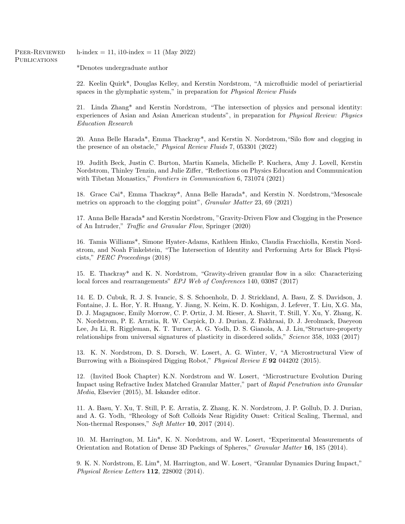Peer-Reviewed **PUBLICATIONS** h-index = 11, i10-index = 11 (May 2022)

\*Denotes undergraduate author

22. Keelin Quirk\*, Douglas Kelley, and Kerstin Nordstrom, "A microfluidic model of periartierial spaces in the glymphatic system," in preparation for Physical Review Fluids

21. Linda Zhang\* and Kerstin Nordstrom, "The intersection of physics and personal identity: experiences of Asian and Asian American students", in preparation for *Physical Review: Physics* Education Research

20. Anna Belle Harada\*, Emma Thackray\*, and Kerstin N. Nordstrom,"Silo flow and clogging in the presence of an obstacle," Physical Review Fluids 7, 053301 (2022)

19. Judith Beck, Justin C. Burton, Martin Kamela, Michelle P. Kuchera, Amy J. Lovell, Kerstin Nordstrom, Thinley Tenzin, and Julie Ziffer, "Reflections on Physics Education and Communication with Tibetan Monastics," Frontiers in Communication 6, 731074 (2021)

18. Grace Cai\*, Emma Thackray\*, Anna Belle Harada\*, and Kerstin N. Nordstrom,"Mesoscale metrics on approach to the clogging point", Granular Matter 23, 69 (2021)

17. Anna Belle Harada\* and Kerstin Nordstrom, "Gravity-Driven Flow and Clogging in the Presence of An Intruder," Traffic and Granular Flow, Springer (2020)

16. Tamia Williams\*, Simone Hyater-Adams, Kathleen Hinko, Claudia Fracchiolla, Kerstin Nordstrom, and Noah Finkelstein, "The Intersection of Identity and Performing Arts for Black Physicists," PERC Proceedings (2018)

15. E. Thackray\* and K. N. Nordstrom, "Gravity-driven granular flow in a silo: Characterizing local forces and rearrangements" EPJ Web of Conferences 140, 03087 (2017)

14. E. D. Cubuk, R. J. S. Ivancic, S. S. Schoenholz, D. J. Strickland, A. Basu, Z. S. Davidson, J. Fontaine, J. L. Hor, Y. R. Huang, Y. Jiang, N. Keim, K. D. Koshigan, J. Lefever, T. Liu, X.G. Ma, D. J. Magagnosc, Emily Morrow, C. P. Ortiz, J. M. Rieser, A. Shavit, T. Still, Y. Xu, Y. Zhang, K. N. Nordstrom, P. E. Arratia, R. W. Carpick, D. J. Durian, Z. Fakhraai, D. J. Jerolmack, Daeyeon Lee, Ju Li, R. Riggleman, K. T. Turner, A. G. Yodh, D. S. Gianola, A. J. Liu,"Structure-property relationships from universal signatures of plasticity in disordered solids," Science 358, 1033 (2017)

13. K. N. Nordstrom, D. S. Dorsch, W. Losert, A. G. Winter, V, "A Microstructural View of Burrowing with a Bioinspired Digging Robot," Physical Review E 92 044202 (2015).

12. (Invited Book Chapter) K.N. Nordstrom and W. Losert, "Microstructure Evolution During Impact using Refractive Index Matched Granular Matter," part of Rapid Penetration into Granular Media, Elsevier (2015), M. Iskander editor.

11. A. Basu, Y. Xu, T. Still, P. E. Arratia, Z. Zhang, K. N. Nordstrom, J. P. Gollub, D. J. Durian, and A. G. Yodh, "Rheology of Soft Colloids Near Rigidity Onset: Critical Scaling, Thermal, and Non-thermal Responses," Soft Matter 10, 2017 (2014).

10. M. Harrington, M. Lin\*, K. N. Nordstrom, and W. Losert, "Experimental Measurements of Orientation and Rotation of Dense 3D Packings of Spheres," Granular Matter 16, 185 (2014).

9. K. N. Nordstrom, E. Lim\*, M. Harrington, and W. Losert, "Granular Dynamics During Impact," Physical Review Letters 112, 228002 (2014).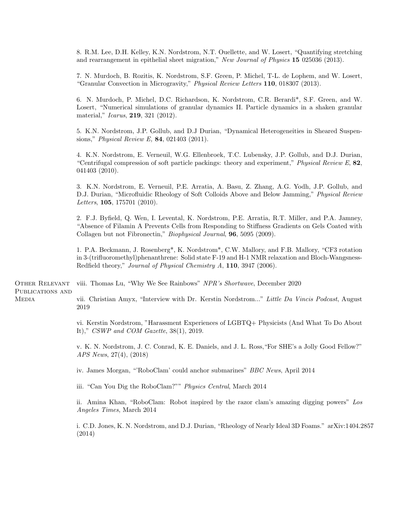8. R.M. Lee, D.H. Kelley, K.N. Nordstrom, N.T. Ouellette, and W. Losert, "Quantifying stretching and rearrangement in epithelial sheet migration," New Journal of Physics 15 025036 (2013).

7. N. Murdoch, B. Rozitis, K. Nordstrom, S.F. Green, P. Michel, T-L. de Lophem, and W. Losert, "Granular Convection in Microgravity," Physical Review Letters 110, 018307 (2013).

6. N. Murdoch, P. Michel, D.C. Richardson, K. Nordstrom, C.R. Berardi\*, S.F. Green, and W. Losert, "Numerical simulations of granular dynamics II. Particle dynamics in a shaken granular material," *Icarus*, **219**, 321 (2012).

5. K.N. Nordstrom, J.P. Gollub, and D.J Durian, "Dynamical Heterogeneities in Sheared Suspensions," Physical Review E, 84, 021403 (2011).

4. K.N. Nordstrom, E. Verneuil, W.G. Ellenbroek, T.C. Lubensky, J.P. Gollub, and D.J. Durian, "Centrifugal compression of soft particle packings: theory and experiment," Physical Review  $E$ , 82, 041403 (2010).

3. K.N. Nordstrom, E. Verneuil, P.E. Arratia, A. Basu, Z. Zhang, A.G. Yodh, J.P. Gollub, and D.J. Durian, "Microfluidic Rheology of Soft Colloids Above and Below Jamming," Physical Review Letters,  $105$ ,  $175701$  (2010).

2. F.J. Byfield, Q. Wen, I. Levental, K. Nordstrom, P.E. Arratia, R.T. Miller, and P.A. Jamney, "Absence of Filamin A Prevents Cells from Responding to Stiffness Gradients on Gels Coated with Collagen but not Fibronectin," Biophysical Journal, 96, 5095 (2009).

1. P.A. Beckmann, J. Rosenberg\*, K. Nordstrom\*, C.W. Mallory, and F.B. Mallory, "CF3 rotation in 3-(trifluoromethyl)phenanthrene: Solid state F-19 and H-1 NMR relaxation and Bloch-Wangsness-Redfield theory," Journal of Physical Chemistry A, 110, 3947 (2006).

Other Relevant PUBLICATIONS AND viii. Thomas Lu, "Why We See Rainbows" NPR's Shortwave, December 2020

**MEDIA** 

vii. Christian Amyx, "Interview with Dr. Kerstin Nordstrom..." Little Da Vincis Podcast, August 2019

vi. Kerstin Nordstrom, "Harassment Experiences of LGBTQ+ Physicists (And What To Do About It)," CSWP and COM Gazette, 38(1), 2019.

v. K. N. Nordstrom, J. C. Conrad, K. E. Daniels, and J. L. Ross,"For SHE's a Jolly Good Fellow?" APS News, 27(4), (2018)

iv. James Morgan, "'RoboClam' could anchor submarines" BBC News, April 2014

iii. "Can You Dig the RoboClam?"" Physics Central, March 2014

ii. Amina Khan, "RoboClam: Robot inspired by the razor clam's amazing digging powers" Los Angeles Times, March 2014

i. C.D. Jones, K. N. Nordstrom, and D.J. Durian, "Rheology of Nearly Ideal 3D Foams." arXiv:1404.2857 (2014)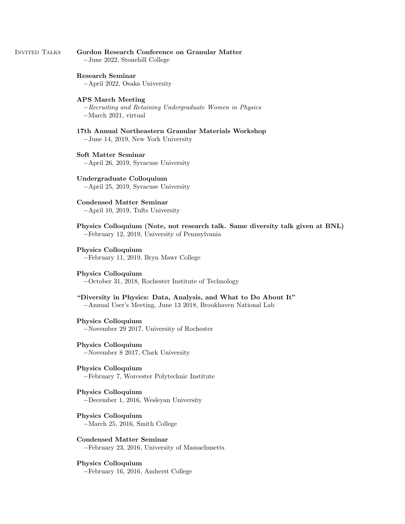# Invited Talks Gordon Research Conference on Granular Matter −June 2022, Stonehill College

# Research Seminar

−April 2022, Osaka University

# APS March Meeting

−Recruiting and Retaining Undergraduate Women in Physics −March 2021, virtual

- 17th Annual Northeastern Granular Materials Workshop −June 14, 2019, New York University
- Soft Matter Seminar −April 26, 2019, Syracuse University

Undergraduate Colloquium −April 25, 2019, Syracuse University

Condensed Matter Seminar −April 10, 2019, Tufts University

Physics Colloquium (Note, not research talk. Same diversity talk given at BNL) −February 12, 2019, University of Pennsylvania

# Physics Colloquium −February 11, 2019, Bryn Mawr College

# Physics Colloquium

−October 31, 2018, Rochester Institute of Technology

"Diversity in Physics: Data, Analysis, and What to Do About It" −Annual User's Meeting, June 13 2018, Brookhaven National Lab

# Physics Colloquium −November 29 2017, University of Rochester

Physics Colloquium −November 8 2017, Clark University

Physics Colloquium −February 7, Worcester Polytechnic Institute

Physics Colloquium −December 1, 2016, Wesleyan University

Physics Colloquium −March 25, 2016, Smith College

Condensed Matter Seminar −February 23, 2016, University of Massachusetts

# Physics Colloquium −February 16, 2016, Amherst College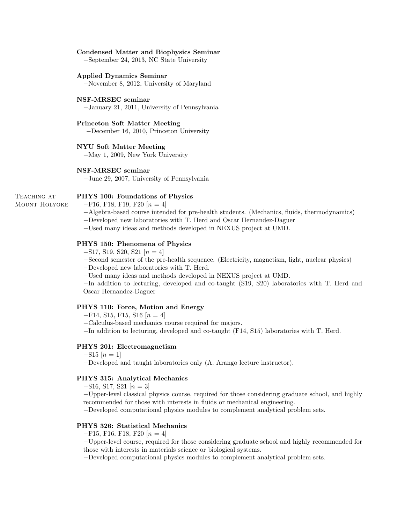# Condensed Matter and Biophysics Seminar

−September 24, 2013, NC State University

# Applied Dynamics Seminar

−November 8, 2012, University of Maryland

# NSF-MRSEC seminar

−January 21, 2011, University of Pennsylvania

# Princeton Soft Matter Meeting

−December 16, 2010, Princeton University

# NYU Soft Matter Meeting

−May 1, 2009, New York University

# NSF-MRSEC seminar

−June 29, 2007, University of Pennsylvania

# PHYS 100: Foundations of Physics  $-F16$ , F18, F19, F20  $[n=4]$

Mount Holyoke

TEACHING AT

−Algebra-based course intended for pre-health students. (Mechanics, fluids, thermodynamics)

−Developed new laboratories with T. Herd and Oscar Hernandez-Daguer

−Used many ideas and methods developed in NEXUS project at UMD.

# PHYS 150: Phenomena of Physics

 $-$ S17, S19, S20, S21 [ $n = 4$ ]

−Second semester of the pre-health sequence. (Electricity, magnetism, light, nuclear physics)

−Developed new laboratories with T. Herd.

−Used many ideas and methods developed in NEXUS project at UMD.

−In addition to lecturing, developed and co-taught (S19, S20) laboratories with T. Herd and Oscar Hernandez-Daguer

# PHYS 110: Force, Motion and Energy

 $-F14$ , S15, F15, S16 [ $n = 4$ ]

−Calculus-based mechanics course required for majors.

−In addition to lecturing, developed and co-taught (F14, S15) laboratories with T. Herd.

# PHYS 201: Electromagnetism

# $-S15 [n=1]$

−Developed and taught laboratories only (A. Arango lecture instructor).

# PHYS 315: Analytical Mechanics

 $-$ S16, S17, S21 [ $n = 3$ ]

−Upper-level classical physics course, required for those considering graduate school, and highly recommended for those with interests in fluids or mechanical engineering.

−Developed computational physics modules to complement analytical problem sets.

# PHYS 326: Statistical Mechanics

 $-F15, F16, F18, F20 [n = 4]$ 

−Upper-level course, required for those considering graduate school and highly recommended for those with interests in materials science or biological systems.

−Developed computational physics modules to complement analytical problem sets.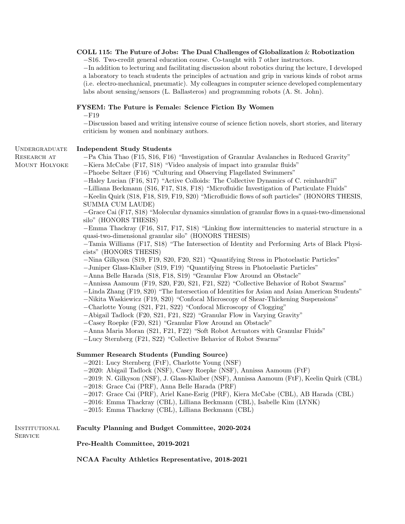# COLL 115: The Future of Jobs: The Dual Challenges of Globalization  $\&$  Robotization

−S16. Two-credit general education course. Co-taught with 7 other instructors.

−In addition to lecturing and facilitating discussion about robotics during the lecture, I developed a laboratory to teach students the principles of actuation and grip in various kinds of robot arms (i.e. electro-mechanical, pneumatic). My colleagues in computer science developed complementary labs about sensing/sensors (L. Ballasteros) and programming robots (A. St. John).

# FYSEM: The Future is Female: Science Fiction By Women

 $-F19$ 

−Discussion based and writing intensive course of science fiction novels, short stories, and literary criticism by women and nonbinary authors.

### Undergraduate Independent Study Students

RESEARCH AT Mount Holyoke

−Pa Chia Thao (F15, S16, F16) "Investigation of Granular Avalanches in Reduced Gravity"

−Kiera McCabe (F17, S18) "Video analysis of impact into granular fluids" −Phoebe Seltzer (F16) "Culturing and Observing Flagellated Swimmers"

−Haley Lucian (F16, S17) "Active Colloids: The Collective Dynamics of C. reinhardtii"

−Lilliana Beckmann (S16, F17, S18, F18) "Microfluidic Investigation of Particulate Fluids"

−Keelin Quirk (S18, F18, S19, F19, S20) "Microfluidic flows of soft particles" (HONORS THESIS, SUMMA CUM LAUDE)

−Grace Cai (F17, S18) "Molecular dynamics simulation of granular flows in a quasi-two-dimensional silo" (HONORS THESIS)

−Emma Thackray (F16, S17, F17, S18) "Linking flow intermittencies to material structure in a quasi-two-dimensional granular silo" (HONORS THESIS)

−Tamia Williams (F17, S18) "The Intersection of Identity and Performing Arts of Black Physicists" (HONORS THESIS)

−Nina Gilkyson (S19, F19, S20, F20, S21) "Quantifying Stress in Photoelastic Particles"

−Juniper Glass-Klaiber (S19, F19) "Quantifying Stress in Photoelastic Particles"

−Anna Belle Harada (S18, F18, S19) "Granular Flow Around an Obstacle"

−Annissa Aamoum (F19, S20, F20, S21, F21, S22) "Collective Behavior of Robot Swarms"

−Linda Zhang (F19, S20) "The Intersection of Identities for Asian and Asian American Students"

−Nikita Waskiewicz (F19, S20) "Confocal Microscopy of Shear-Thickening Suspensions"

−Charlotte Young (S21, F21, S22) "Confocal Microscopy of Clogging"

−Abigail Tadlock (F20, S21, F21, S22) "Granular Flow in Varying Gravity"

−Casey Roepke (F20, S21) "Granular Flow Around an Obstacle"

−Anna Maria Moran (S21, F21, F22) "Soft Robot Actuators with Granular Fluids"

−Lucy Sternberg (F21, S22) "Collective Behavior of Robot Swarms"

# Summer Research Students (Funding Source)

−2021: Lucy Sternberg (FtF), Charlotte Young (NSF)

−2020: Abigail Tadlock (NSF), Casey Roepke (NSF), Annissa Aamoum (FtF)

−2019: N. Gilkyson (NSF), J. Glass-Klaiber (NSF), Annissa Aamoum (FtF), Keelin Quirk (CBL)

−2018: Grace Cai (PRF), Anna Belle Harada (PRF)

−2017: Grace Cai (PRF), Ariel Kane-Esrig (PRF), Kiera McCabe (CBL), AB Harada (CBL)

−2016: Emma Thackray (CBL), Lilliana Beckmann (CBL), Isabelle Kim (LYNK)

−2015: Emma Thackray (CBL), Lilliana Beckmann (CBL)

## **INSTITUTIONAL** Faculty Planning and Budget Committee, 2020-2024

**SERVICE** 

Pre-Health Committee, 2019-2021

NCAA Faculty Athletics Representative, 2018-2021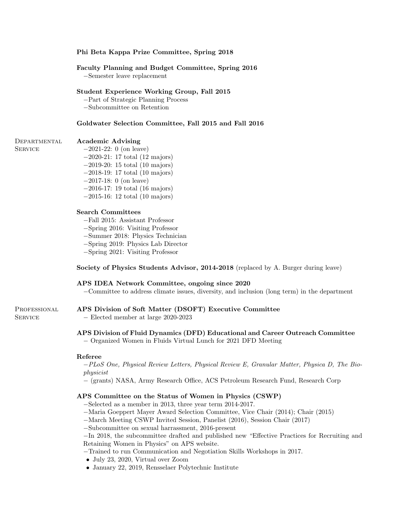# Phi Beta Kappa Prize Committee, Spring 2018

# Faculty Planning and Budget Committee, Spring 2016

−Semester leave replacement

# Student Experience Working Group, Fall 2015

−Part of Strategic Planning Process

−Subcommittee on Retention

# Goldwater Selection Committee, Fall 2015 and Fall 2016

## **DEPARTMENTAL** Academic Advising

**SERVICE** 

**SERVICE** 

−2021-22: 0 (on leave) −2020-21: 17 total (12 majors) −2019-20: 15 total (10 majors)

- −2018-19: 17 total (10 majors)
- −2017-18: 0 (on leave)
- −2016-17: 19 total (16 majors)
- −2015-16: 12 total (10 majors)

# Search Committees

−Fall 2015: Assistant Professor

- −Spring 2016: Visiting Professor
- −Summer 2018: Physics Technician
- −Spring 2019: Physics Lab Director
- −Spring 2021: Visiting Professor

# Society of Physics Students Advisor, 2014-2018 (replaced by A. Burger during leave)

# APS IDEA Network Committee, ongoing since 2020

−Committee to address climate issues, diversity, and inclusion (long term) in the department

## PROFESSIONAL APS Division of Soft Matter (DSOFT) Executive Committee

− Elected member at large 2020-2023

# APS Division of Fluid Dynamics (DFD) Educational and Career Outreach Committee

− Organized Women in Fluids Virtual Lunch for 2021 DFD Meeting

# Referee

−PLoS One, Physical Review Letters, Physical Review E, Granular Matter, Physica D, The Biophysicist

− (grants) NASA, Army Research Office, ACS Petroleum Research Fund, Research Corp

# APS Committee on the Status of Women in Physics (CSWP)

- −Selected as a member in 2013, three year term 2014-2017.
- −Maria Goeppert Mayer Award Selection Committee, Vice Chair (2014); Chair (2015)
- −March Meeting CSWP Invited Session, Panelist (2016), Session Chair (2017)
- −Subcommittee on sexual harrassment, 2016-present

−In 2018, the subcommittee drafted and published new "Effective Practices for Recruiting and Retaining Women in Physics" on APS website.

- −Trained to run Communication and Negotiation Skills Workshops in 2017.
- July 23, 2020, Virtual over Zoom
- January 22, 2019, Rensselaer Polytechnic Institute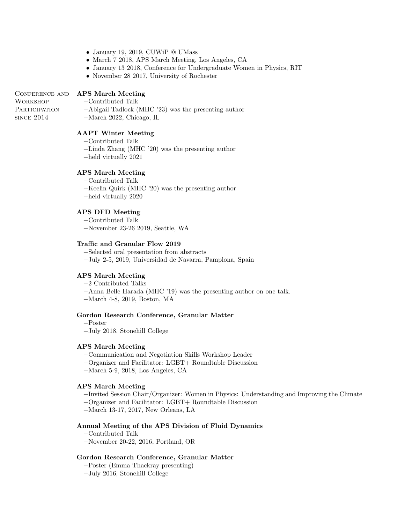- January 19, 2019, CUWiP @ UMass
- March 7 2018, APS March Meeting, Los Angeles, CA
- January 13 2018, Conference for Undergraduate Women in Physics, RIT
- November 28 2017, University of Rochester

# CONFERENCE AND APS March Meeting

**WORKSHOP PARTICIPATION** since 2014

- −Contributed Talk
- −Abigail Tadlock (MHC '23) was the presenting author
- −March 2022, Chicago, IL

# AAPT Winter Meeting

- −Contributed Talk
- −Linda Zhang (MHC '20) was the presenting author
- −held virtually 2021

# APS March Meeting

- −Contributed Talk
- −Keelin Quirk (MHC '20) was the presenting author
- −held virtually 2020

# APS DFD Meeting

- −Contributed Talk
- −November 23-26 2019, Seattle, WA

# Traffic and Granular Flow 2019

- −Selected oral presentation from abstracts
- −July 2-5, 2019, Universidad de Navarra, Pamplona, Spain

# APS March Meeting

- −2 Contributed Talks
- −Anna Belle Harada (MHC '19) was the presenting author on one talk.
- −March 4-8, 2019, Boston, MA

## Gordon Research Conference, Granular Matter

- −Poster
- −July 2018, Stonehill College

# APS March Meeting

- −Communication and Negotiation Skills Workshop Leader
- −Organizer and Facilitator: LGBT+ Roundtable Discussion
- −March 5-9, 2018, Los Angeles, CA

# APS March Meeting

- −Invited Session Chair/Organizer: Women in Physics: Understanding and Improving the Climate
- −Organizer and Facilitator: LGBT+ Roundtable Discussion
- −March 13-17, 2017, New Orleans, LA

# Annual Meeting of the APS Division of Fluid Dynamics

- −Contributed Talk
- −November 20-22, 2016, Portland, OR

# Gordon Research Conference, Granular Matter

- −Poster (Emma Thackray presenting)
- −July 2016, Stonehill College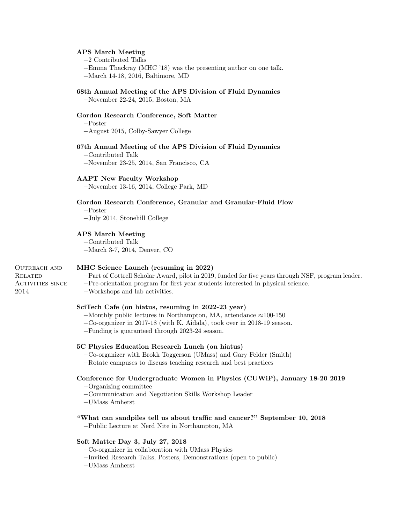# APS March Meeting

−2 Contributed Talks

−Emma Thackray (MHC '18) was the presenting author on one talk.

−March 14-18, 2016, Baltimore, MD

# 68th Annual Meeting of the APS Division of Fluid Dynamics

−November 22-24, 2015, Boston, MA

# Gordon Research Conference, Soft Matter

−Poster

−August 2015, Colby-Sawyer College

# 67th Annual Meeting of the APS Division of Fluid Dynamics

−Contributed Talk

−November 23-25, 2014, San Francisco, CA

# AAPT New Faculty Workshop

−November 13-16, 2014, College Park, MD

# Gordon Research Conference, Granular and Granular-Fluid Flow

−Poster

−July 2014, Stonehill College

# APS March Meeting

−Contributed Talk

−March 3-7, 2014, Denver, CO

# OUTREACH AND **RELATED** ACTIVITIES SINCE

2014

# MHC Science Launch (resuming in 2022)

−Part of Cottrell Scholar Award, pilot in 2019, funded for five years through NSF, program leader.

- −Pre-orientation program for first year students interested in physical science.
- −Workshops and lab activities.

# SciTech Cafe (on hiatus, resuming in 2022-23 year)

- −Monthly public lectures in Northampton, MA, attendance ≈100-150
- −Co-organizer in 2017-18 (with K. Aidala), took over in 2018-19 season.
- −Funding is guaranteed through 2023-24 season.

# 5C Physics Education Research Lunch (on hiatus)

- −Co-organizer with Brokk Toggerson (UMass) and Gary Felder (Smith)
- −Rotate campuses to discuss teaching research and best practices

# Conference for Undergraduate Women in Physics (CUWiP), January 18-20 2019

- −Organizing committee
- −Communication and Negotiation Skills Workshop Leader
- −UMass Amherst

# "What can sandpiles tell us about traffic and cancer?" September 10, 2018

−Public Lecture at Nerd Nite in Northampton, MA

# Soft Matter Day 3, July 27, 2018

−Co-organizer in collaboration with UMass Physics

−Invited Research Talks, Posters, Demonstrations (open to public)

−UMass Amherst